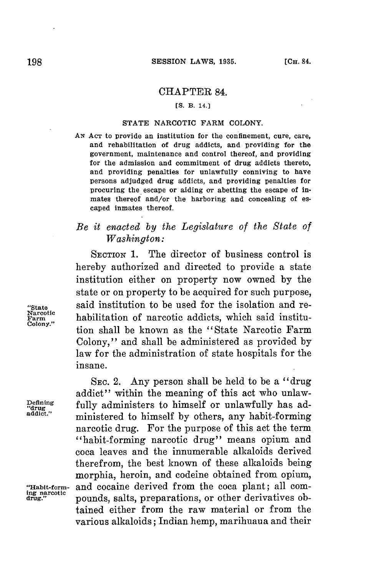## CHAPTER 84.

### **[S. B. 14.]**

#### **STATE** NARCOTIC FARM **COLONY.**

**AN AcT** to provide an institution for the confinement, cure, care, and rehabilitation of drug addicts, and providing for the government, maintenance and control thereof, and providing for the admission and commitment of drug addicts thereto, and providing penalties for unlawfully conniving to have persons adjudged drug addicts, and providing penalties for procuring the escape or aiding or abetting the escape of inmates thereof and/or the harboring and concealing of escaped inmates thereof.

# *Be it enacted by the Legislature of the State of Washington:*

SECTION 1. The director of business control is hereby authorized and directed to provide a state institution either on property now owned **by** the state or on property to be acquired **for** such purpose, "State said institution to be used for the isolation and re- $F_{\text{arm}}^{\text{arcotic}}$  habilitation of narcotic addicts, which said institution shall be known as the "State Narcotic Farm Colony," and shall be administered as provided **by** law **for** the administration of state hospitals **for** the insane.

SEC. 2. Any person shall be held to be a "drug addict" within the meaning of this act who unlawfully administers to himself or unlawfully has administered to himself by others, any habit-forming narcotic drug. For the purpose of this act the term "habit-forming narcotic drug" means opium and coca leaves and the innumerable alkaloids derived therefrom, the best known of these alkaloids being morphia, heroin, and codeine obtained from opium, **"Habit-form-** and cocaine derived from the coca plant; all compounds, salts, preparations, or other derivatives obtained either from the raw material or from the various alkaloids; Indian hemp, marihuaua and their

Narcotic<br>Farm

Defining<br>"drug<br>addict."

**ing narcotic**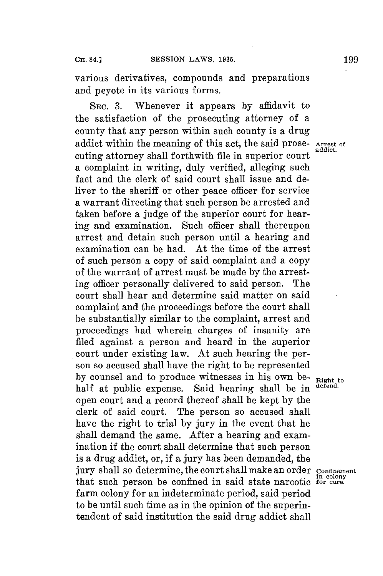various derivatives, compounds and preparations and peyote in its various forms.

SEc. **3.** Whenever it appears **by** affidavit to the satisfaction of the prosecuting attorney of a county that any person within such county is a drug addict within the meaning of this act, the said prose- **Arrest of addict.** cuting attorney shall forthwith file in superior court a complaint in writing, duly verified, alleging such fact and the clerk of said court shall issue and deliver to the sheriff or other peace officer for service a warrant directing that such person be arrested and taken before a judge of the superior court for hearing and examination. Such officer shall thereupon arrest and detain such person until a hearing and examination can be had. At the time of the arrest of such person a copy of said complaint and a copy of the warrant of arrest must be made **by** the arresting officer personally delivered to said person. The court shall hear and determine said matter on said complaint and the proceedings before the court shall be substantially similar to the complaint, arrest and proceedings had wherein charges of insanity are filed against a person and heard in the superior court under existing law. At such hearing the person so accused shall have the right to be represented by counsel and to produce witnesses in his own be- **Right to**<br>helf at public expanse. Said begring aboll be in defend. half at public expense. Said hearing shall be in open court and a record thereof shall be kept **by** the clerk of said court. The person so accused shall have the right to trial **by** jury in the event that he shall demand the same. After a hearing and examination if the court shall determine that such person is a drug addict, or, if a jury has been demanded, the jury shall so determine, the court shall make an order **confinement** in colony that such person be confined in said state narcotic **for cure.** farm colony for an indeterminate period, said period to be until such time as in the opinion of the superintendent of said institution the said drug addict shall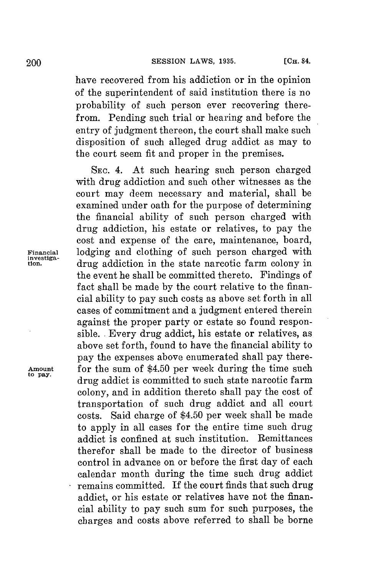have recovered from his addiction or in the opinion of the superintendent of said institution there is no probability of such person ever recovering therefrom. Pending such trial or hearing and before the entry of judgment thereon, the court shall make such disposition of such alleged drug addict as may to the court seem fit and proper in the premises.

**SEC.** 4. At such hearing such person charged with drug addiction and such other witnesses as the court may deem necessary and material, shall be examined under oath **for** the purpose of determining the financial ability of such person charged with drug addiction, his estate or relatives, to pay the cost and expense of the care, maintenance, board, **Financial** lodging and clothing of such person charged with drug addiction in the state narcotic farm colony in the event he shall be committed thereto. Findings of fact shall be made **by** the court relative to the financial ability to pay such costs as above set forth in all cases of commitment and a judgment entered therein against the proper party or estate so found responsible. **.** Every drug addict, his estate or relatives, as above set forth, found to have the financial ability to pay the expenses above enumerated shall pay there-Amount for the sum of \$4.50 per week during the time such to pay. **opay.** drug addict is committed to such state narcotic farm colony, and in addition thereto shall pay the cost of transportation of such drug addict and all court costs. Said charge of \$4.50 per week shall be made to apply in all cases **for** the entire time such drug addict is confined at such institution. Remittances therefor shall be made to the director of business control in advance on or before the first day of each calendar month during the time such drug addict remains committed. If the court finds that such drug addict, or his estate or relatives have not the financial ability to pay such sum for such purposes, the charges and costs above referred to shall be borne

investiga-<br>tion.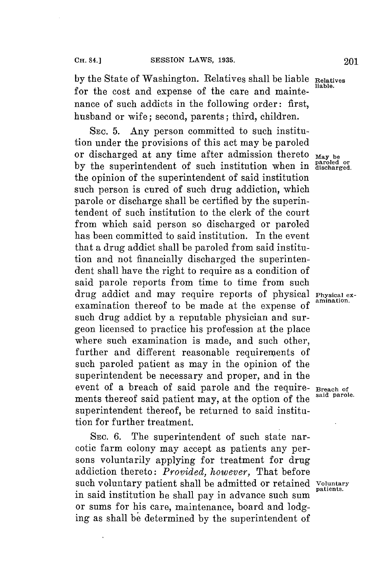**by** the State of Washington. Relatives shall be liable **Relatives** for the cost and expense of the care and maintenance of such addicts in the following order: first, husband or wife; second, parents; third, children.

SEC. **5.** Any person committed to such institution under the provisions of this act may **be** paroled or discharged at any time after admission thereto  $_{\text{May }b}$ by the superintendent of such institution when in **assets** for the opinion of the superintendent of said institution such person is cured of such drug addiction, which parole or discharge shall be certified **by** the superintendent of such institution to the clerk of the court from which said person so discharged or paroled has been committed to said institution. In the event that a drug addict shall be paroled from said institution and not financially discharged the superintendent shall have the right to require as a condition of said parole reports from time to time from such drug addict and may require reports of physical **Physical ex**examination thereof to be made at the expense of such drug addict **by** a reputable physician and surgeon licensed to practice his profession at the place where such examination is made, and such other, further and different reasonable requirements of such paroled patient as may in the opinion of the superintendent be necessary and proper, and in the event of a breach of said parole and the require- **Breach of** ments there is a said parole. ments thereof said patient may, at the option of the superintendent thereof, be returned to said institution **for** further treatment.

SEC. **6.** The superintendent of such state narcotic farm colony may accept as patients any persons voluntarily applying for treatment for drug addiction thereto: *Provided, however,* That before such voluntary patient shall be admitted or retained **Voluntary** in said institution he shall pay in advance such sum or sums for his care, maintenance, board and lodging as shall be determined **by** the superintendent of

**patients.**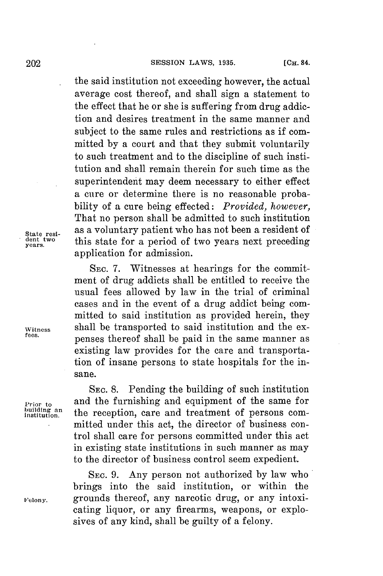the said institution not exceeding however, the actual average cost thereof, and shall sign a statement to the effect that he or she is suffering from drug addiction and desires treatment in the same manner and subject to the same rules and restrictions as if committed **by** a court and that they submit voluntarily to such treatment and to the discipline of such institution and shall remain therein for such time as the superintendent may deem necessary to either effect a cure or determine there is no reasonable probability of a cure being effected: *Provided, however,* That no person shall be admitted to such institution State resi-<br>dent two this state for a period of two years next preceding **dentstwo** this state **for** a period of two years next preceding **years** application for admission.

SEc. **7.** Witnesses at hearings for the commitment of drug addicts shall be entitled to receive the usual fees allowed **by** law in the trial of criminal cases and in the event of a drug addict being committed to said institution as provided herein, they **Witness** shall be transported to said institution and the expenses thereof shall be paid in the same manner as existing law provides for the care and transportation of insane persons to state hospitals for the insane.

> **SEC. 8.** Pending the building of such institution and the furnishing and equipment of the same for the reception, care and treatment of persons committed under this act, the director of business control shall care for persons committed under this act in existing state institutions in such manner as may to the director of business control seem expedient.

**SEC. 9.** Any person not authorized **by** law who brings into the said institution, or within the Felony. **grounds thereof, any narcotic drug, or any intoxi**cating liquor, or any firearms, weapons, or explosives of any kind, shall be guilty of a felony.

**Prior to**<br>building an<br>institution.